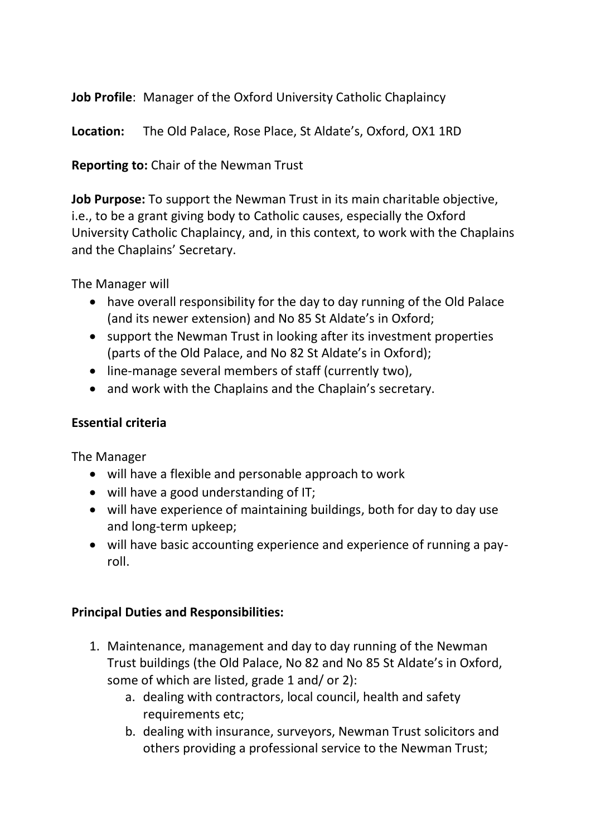**Job Profile**: Manager of the Oxford University Catholic Chaplaincy

**Location:** The Old Palace, Rose Place, St Aldate's, Oxford, OX1 1RD

**Reporting to:** Chair of the Newman Trust

**Job Purpose:** To support the Newman Trust in its main charitable objective, i.e., to be a grant giving body to Catholic causes, especially the Oxford University Catholic Chaplaincy, and, in this context, to work with the Chaplains and the Chaplains' Secretary.

The Manager will

- have overall responsibility for the day to day running of the Old Palace (and its newer extension) and No 85 St Aldate's in Oxford;
- support the Newman Trust in looking after its investment properties (parts of the Old Palace, and No 82 St Aldate's in Oxford);
- line-manage several members of staff (currently two),
- and work with the Chaplains and the Chaplain's secretary.

## **Essential criteria**

The Manager

- will have a flexible and personable approach to work
- will have a good understanding of IT;
- will have experience of maintaining buildings, both for day to day use and long-term upkeep;
- will have basic accounting experience and experience of running a payroll.

## **Principal Duties and Responsibilities:**

- 1. Maintenance, management and day to day running of the Newman Trust buildings (the Old Palace, No 82 and No 85 St Aldate's in Oxford, some of which are listed, grade 1 and/ or 2):
	- a. dealing with contractors, local council, health and safety requirements etc;
	- b. dealing with insurance, surveyors, Newman Trust solicitors and others providing a professional service to the Newman Trust;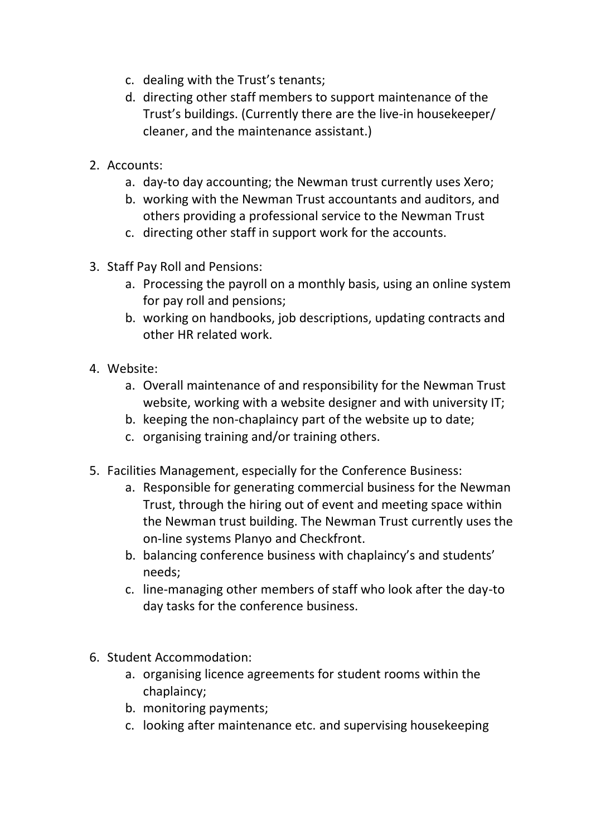- c. dealing with the Trust's tenants;
- d. directing other staff members to support maintenance of the Trust's buildings. (Currently there are the live-in housekeeper/ cleaner, and the maintenance assistant.)
- 2. Accounts:
	- a. day-to day accounting; the Newman trust currently uses Xero;
	- b. working with the Newman Trust accountants and auditors, and others providing a professional service to the Newman Trust
	- c. directing other staff in support work for the accounts.
- 3. Staff Pay Roll and Pensions:
	- a. Processing the payroll on a monthly basis, using an online system for pay roll and pensions;
	- b. working on handbooks, job descriptions, updating contracts and other HR related work.
- 4. Website:
	- a. Overall maintenance of and responsibility for the Newman Trust website, working with a website designer and with university IT;
	- b. keeping the non-chaplaincy part of the website up to date;
	- c. organising training and/or training others.
- 5. Facilities Management, especially for the Conference Business:
	- a. Responsible for generating commercial business for the Newman Trust, through the hiring out of event and meeting space within the Newman trust building. The Newman Trust currently uses the on-line systems Planyo and Checkfront.
	- b. balancing conference business with chaplaincy's and students' needs;
	- c. line-managing other members of staff who look after the day-to day tasks for the conference business.
- 6. Student Accommodation:
	- a. organising licence agreements for student rooms within the chaplaincy;
	- b. monitoring payments;
	- c. looking after maintenance etc. and supervising housekeeping